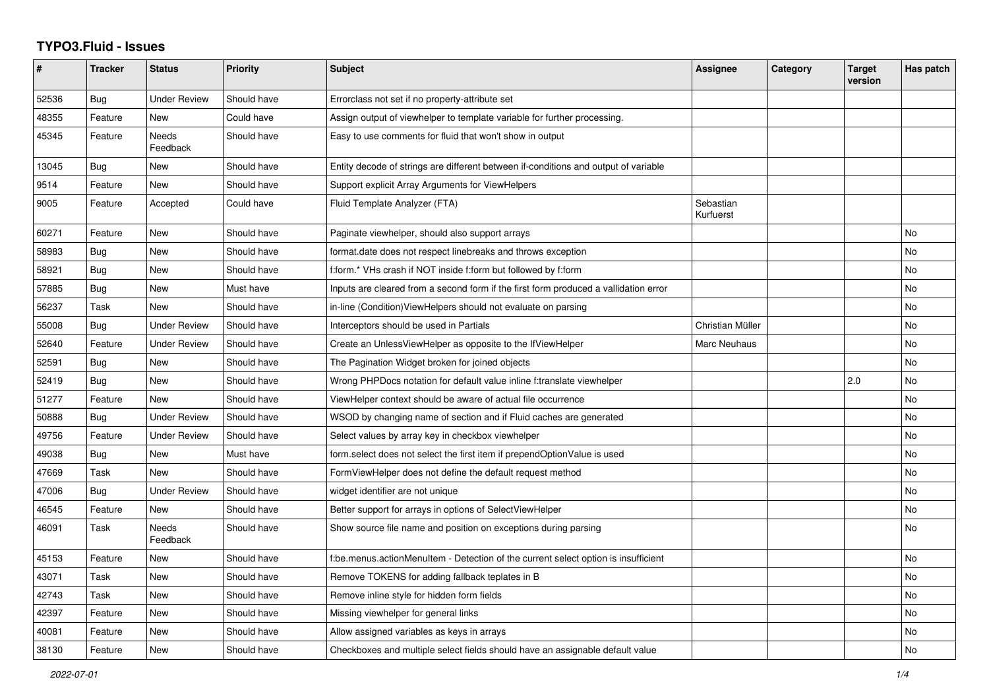## **TYPO3.Fluid - Issues**

| $\#$  | <b>Tracker</b> | <b>Status</b>       | Priority    | <b>Subject</b>                                                                       | Assignee               | Category | <b>Target</b><br>version | Has patch |
|-------|----------------|---------------------|-------------|--------------------------------------------------------------------------------------|------------------------|----------|--------------------------|-----------|
| 52536 | Bug            | Under Review        | Should have | Errorclass not set if no property-attribute set                                      |                        |          |                          |           |
| 48355 | Feature        | New                 | Could have  | Assign output of viewhelper to template variable for further processing.             |                        |          |                          |           |
| 45345 | Feature        | Needs<br>Feedback   | Should have | Easy to use comments for fluid that won't show in output                             |                        |          |                          |           |
| 13045 | <b>Bug</b>     | New                 | Should have | Entity decode of strings are different between if-conditions and output of variable  |                        |          |                          |           |
| 9514  | Feature        | <b>New</b>          | Should have | Support explicit Array Arguments for ViewHelpers                                     |                        |          |                          |           |
| 9005  | Feature        | Accepted            | Could have  | Fluid Template Analyzer (FTA)                                                        | Sebastian<br>Kurfuerst |          |                          |           |
| 60271 | Feature        | New                 | Should have | Paginate viewhelper, should also support arrays                                      |                        |          |                          | No        |
| 58983 | Bug            | New                 | Should have | format.date does not respect linebreaks and throws exception                         |                        |          |                          | No        |
| 58921 | Bug            | New                 | Should have | f:form.* VHs crash if NOT inside f:form but followed by f:form                       |                        |          |                          | <b>No</b> |
| 57885 | Bug            | New                 | Must have   | Inputs are cleared from a second form if the first form produced a vallidation error |                        |          |                          | No        |
| 56237 | Task           | New                 | Should have | in-line (Condition) View Helpers should not evaluate on parsing                      |                        |          |                          | No        |
| 55008 | Bug            | <b>Under Review</b> | Should have | Interceptors should be used in Partials                                              | Christian Müller       |          |                          | No        |
| 52640 | Feature        | <b>Under Review</b> | Should have | Create an UnlessViewHelper as opposite to the IfViewHelper                           | Marc Neuhaus           |          |                          | <b>No</b> |
| 52591 | Bug            | New                 | Should have | The Pagination Widget broken for joined objects                                      |                        |          |                          | <b>No</b> |
| 52419 | Bug            | New                 | Should have | Wrong PHPDocs notation for default value inline f:translate viewhelper               |                        |          | 2.0                      | <b>No</b> |
| 51277 | Feature        | <b>New</b>          | Should have | ViewHelper context should be aware of actual file occurrence                         |                        |          |                          | No        |
| 50888 | Bug            | Under Review        | Should have | WSOD by changing name of section and if Fluid caches are generated                   |                        |          |                          | <b>No</b> |
| 49756 | Feature        | <b>Under Review</b> | Should have | Select values by array key in checkbox viewhelper                                    |                        |          |                          | No        |
| 49038 | Bug            | <b>New</b>          | Must have   | form.select does not select the first item if prependOptionValue is used             |                        |          |                          | No        |
| 47669 | Task           | New                 | Should have | FormViewHelper does not define the default request method                            |                        |          |                          | No        |
| 47006 | Bug            | <b>Under Review</b> | Should have | widget identifier are not unique                                                     |                        |          |                          | <b>No</b> |
| 46545 | Feature        | New                 | Should have | Better support for arrays in options of SelectViewHelper                             |                        |          |                          | No        |
| 46091 | Task           | Needs<br>Feedback   | Should have | Show source file name and position on exceptions during parsing                      |                        |          |                          | No        |
| 45153 | Feature        | New                 | Should have | f:be.menus.actionMenuItem - Detection of the current select option is insufficient   |                        |          |                          | No        |
| 43071 | Task           | New                 | Should have | Remove TOKENS for adding fallback teplates in B                                      |                        |          |                          | <b>No</b> |
| 42743 | Task           | New                 | Should have | Remove inline style for hidden form fields                                           |                        |          |                          | No        |
| 42397 | Feature        | <b>New</b>          | Should have | Missing viewhelper for general links                                                 |                        |          |                          | <b>No</b> |
| 40081 | Feature        | New                 | Should have | Allow assigned variables as keys in arrays                                           |                        |          |                          | <b>No</b> |
| 38130 | Feature        | <b>New</b>          | Should have | Checkboxes and multiple select fields should have an assignable default value        |                        |          |                          | No        |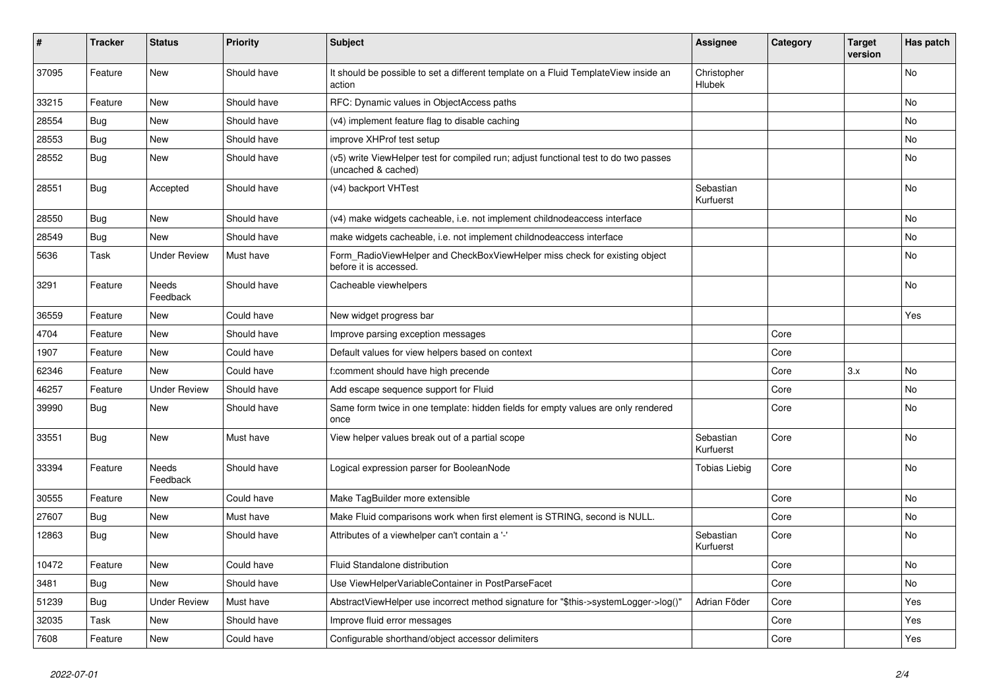| #     | <b>Tracker</b> | <b>Status</b>            | <b>Priority</b> | <b>Subject</b>                                                                                              | <b>Assignee</b>        | Category | <b>Target</b><br>version | Has patch |
|-------|----------------|--------------------------|-----------------|-------------------------------------------------------------------------------------------------------------|------------------------|----------|--------------------------|-----------|
| 37095 | Feature        | <b>New</b>               | Should have     | It should be possible to set a different template on a Fluid TemplateView inside an<br>action               | Christopher<br>Hlubek  |          |                          | <b>No</b> |
| 33215 | Feature        | New                      | Should have     | RFC: Dynamic values in ObjectAccess paths                                                                   |                        |          |                          | No        |
| 28554 | <b>Bug</b>     | New                      | Should have     | (v4) implement feature flag to disable caching                                                              |                        |          |                          | No        |
| 28553 | Bug            | <b>New</b>               | Should have     | improve XHProf test setup                                                                                   |                        |          |                          | <b>No</b> |
| 28552 | <b>Bug</b>     | New                      | Should have     | (v5) write ViewHelper test for compiled run; adjust functional test to do two passes<br>(uncached & cached) |                        |          |                          | No        |
| 28551 | Bug            | Accepted                 | Should have     | (v4) backport VHTest                                                                                        | Sebastian<br>Kurfuerst |          |                          | <b>No</b> |
| 28550 | Bug            | New                      | Should have     | (v4) make widgets cacheable, i.e. not implement childnodeaccess interface                                   |                        |          |                          | No        |
| 28549 | <b>Bug</b>     | <b>New</b>               | Should have     | make widgets cacheable, i.e. not implement childnodeaccess interface                                        |                        |          |                          | No        |
| 5636  | Task           | <b>Under Review</b>      | Must have       | Form_RadioViewHelper and CheckBoxViewHelper miss check for existing object<br>before it is accessed.        |                        |          |                          | <b>No</b> |
| 3291  | Feature        | <b>Needs</b><br>Feedback | Should have     | Cacheable viewhelpers                                                                                       |                        |          |                          | No        |
| 36559 | Feature        | New                      | Could have      | New widget progress bar                                                                                     |                        |          |                          | Yes       |
| 4704  | Feature        | New                      | Should have     | Improve parsing exception messages                                                                          |                        | Core     |                          |           |
| 1907  | Feature        | New                      | Could have      | Default values for view helpers based on context                                                            |                        | Core     |                          |           |
| 62346 | Feature        | New                      | Could have      | f:comment should have high precende                                                                         |                        | Core     | 3.x                      | <b>No</b> |
| 46257 | Feature        | <b>Under Review</b>      | Should have     | Add escape sequence support for Fluid                                                                       |                        | Core     |                          | No        |
| 39990 | Bug            | New                      | Should have     | Same form twice in one template: hidden fields for empty values are only rendered<br>once                   |                        | Core     |                          | No        |
| 33551 | Bug            | <b>New</b>               | Must have       | View helper values break out of a partial scope                                                             | Sebastian<br>Kurfuerst | Core     |                          | <b>No</b> |
| 33394 | Feature        | Needs<br>Feedback        | Should have     | Logical expression parser for BooleanNode                                                                   | Tobias Liebig          | Core     |                          | <b>No</b> |
| 30555 | Feature        | <b>New</b>               | Could have      | Make TagBuilder more extensible                                                                             |                        | Core     |                          | No        |
| 27607 | <b>Bug</b>     | New                      | Must have       | Make Fluid comparisons work when first element is STRING, second is NULL.                                   |                        | Core     |                          | No        |
| 12863 | <b>Bug</b>     | New                      | Should have     | Attributes of a viewhelper can't contain a '-'                                                              | Sebastian<br>Kurfuerst | Core     |                          | No        |
| 10472 | Feature        | <b>New</b>               | Could have      | Fluid Standalone distribution                                                                               |                        | Core     |                          | <b>No</b> |
| 3481  | <b>Bug</b>     | <b>New</b>               | Should have     | Use ViewHelperVariableContainer in PostParseFacet                                                           |                        | Core     |                          | <b>No</b> |
| 51239 | <b>Bug</b>     | <b>Under Review</b>      | Must have       | AbstractViewHelper use incorrect method signature for "\$this->systemLogger->log()'                         | Adrian Föder           | Core     |                          | Yes       |
| 32035 | Task           | <b>New</b>               | Should have     | Improve fluid error messages                                                                                |                        | Core     |                          | Yes       |
| 7608  | Feature        | <b>New</b>               | Could have      | Configurable shorthand/object accessor delimiters                                                           |                        | Core     |                          | Yes       |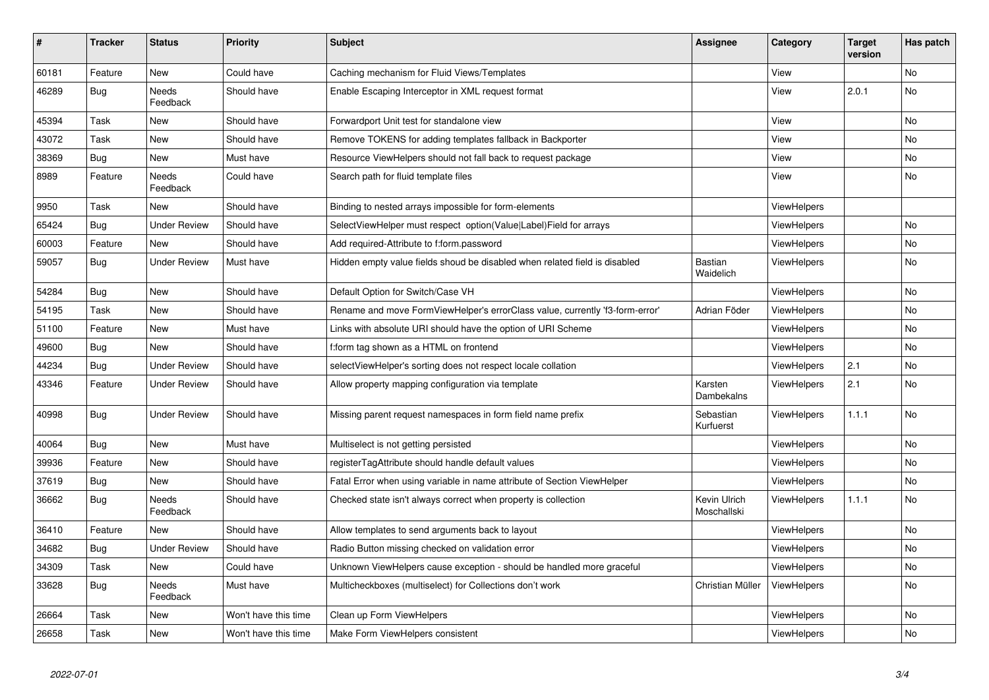| $\vert$ # | <b>Tracker</b> | <b>Status</b>            | <b>Priority</b>      | <b>Subject</b>                                                               | Assignee                    | Category           | <b>Target</b><br>version | Has patch |
|-----------|----------------|--------------------------|----------------------|------------------------------------------------------------------------------|-----------------------------|--------------------|--------------------------|-----------|
| 60181     | Feature        | New                      | Could have           | Caching mechanism for Fluid Views/Templates                                  |                             | View               |                          | <b>No</b> |
| 46289     | Bug            | Needs<br>Feedback        | Should have          | Enable Escaping Interceptor in XML request format                            |                             | View               | 2.0.1                    | <b>No</b> |
| 45394     | Task           | New                      | Should have          | Forwardport Unit test for standalone view                                    |                             | View               |                          | <b>No</b> |
| 43072     | Task           | New                      | Should have          | Remove TOKENS for adding templates fallback in Backporter                    |                             | View               |                          | <b>No</b> |
| 38369     | <b>Bug</b>     | New                      | Must have            | Resource ViewHelpers should not fall back to request package                 |                             | View               |                          | <b>No</b> |
| 8989      | Feature        | Needs<br>Feedback        | Could have           | Search path for fluid template files                                         |                             | View               |                          | <b>No</b> |
| 9950      | Task           | New                      | Should have          | Binding to nested arrays impossible for form-elements                        |                             | ViewHelpers        |                          |           |
| 65424     | Bug            | <b>Under Review</b>      | Should have          | SelectViewHelper must respect option(Value Label)Field for arrays            |                             | ViewHelpers        |                          | No        |
| 60003     | Feature        | New                      | Should have          | Add required-Attribute to f:form.password                                    |                             | ViewHelpers        |                          | <b>No</b> |
| 59057     | <b>Bug</b>     | Under Review             | Must have            | Hidden empty value fields shoud be disabled when related field is disabled   | Bastian<br>Waidelich        | <b>ViewHelpers</b> |                          | <b>No</b> |
| 54284     | <b>Bug</b>     | <b>New</b>               | Should have          | Default Option for Switch/Case VH                                            |                             | ViewHelpers        |                          | <b>No</b> |
| 54195     | Task           | New                      | Should have          | Rename and move FormViewHelper's errorClass value, currently 'f3-form-error' | Adrian Föder                | <b>ViewHelpers</b> |                          | <b>No</b> |
| 51100     | Feature        | New                      | Must have            | Links with absolute URI should have the option of URI Scheme                 |                             | <b>ViewHelpers</b> |                          | No        |
| 49600     | <b>Bug</b>     | New                      | Should have          | f:form tag shown as a HTML on frontend                                       |                             | ViewHelpers        |                          | <b>No</b> |
| 44234     | Bug            | <b>Under Review</b>      | Should have          | selectViewHelper's sorting does not respect locale collation                 |                             | ViewHelpers        | 2.1                      | <b>No</b> |
| 43346     | Feature        | Under Review             | Should have          | Allow property mapping configuration via template                            | Karsten<br>Dambekalns       | ViewHelpers        | 2.1                      | <b>No</b> |
| 40998     | <b>Bug</b>     | <b>Under Review</b>      | Should have          | Missing parent request namespaces in form field name prefix                  | Sebastian<br>Kurfuerst      | <b>ViewHelpers</b> | 1.1.1                    | <b>No</b> |
| 40064     | Bug            | New                      | Must have            | Multiselect is not getting persisted                                         |                             | ViewHelpers        |                          | No        |
| 39936     | Feature        | New                      | Should have          | registerTagAttribute should handle default values                            |                             | <b>ViewHelpers</b> |                          | No        |
| 37619     | Bug            | New                      | Should have          | Fatal Error when using variable in name attribute of Section ViewHelper      |                             | <b>ViewHelpers</b> |                          | No        |
| 36662     | <b>Bug</b>     | <b>Needs</b><br>Feedback | Should have          | Checked state isn't always correct when property is collection               | Kevin Ulrich<br>Moschallski | ViewHelpers        | 1.1.1                    | <b>No</b> |
| 36410     | Feature        | New                      | Should have          | Allow templates to send arguments back to layout                             |                             | <b>ViewHelpers</b> |                          | No        |
| 34682     | Bug            | <b>Under Review</b>      | Should have          | Radio Button missing checked on validation error                             |                             | ViewHelpers        |                          | No        |
| 34309     | Task           | New                      | Could have           | Unknown ViewHelpers cause exception - should be handled more graceful        |                             | ViewHelpers        |                          | <b>No</b> |
| 33628     | <b>Bug</b>     | <b>Needs</b><br>Feedback | Must have            | Multicheckboxes (multiselect) for Collections don't work                     | Christian Müller            | <b>ViewHelpers</b> |                          | No        |
| 26664     | Task           | New                      | Won't have this time | Clean up Form ViewHelpers                                                    |                             | <b>ViewHelpers</b> |                          | No        |
| 26658     | Task           | New                      | Won't have this time | Make Form ViewHelpers consistent                                             |                             | <b>ViewHelpers</b> |                          | No        |